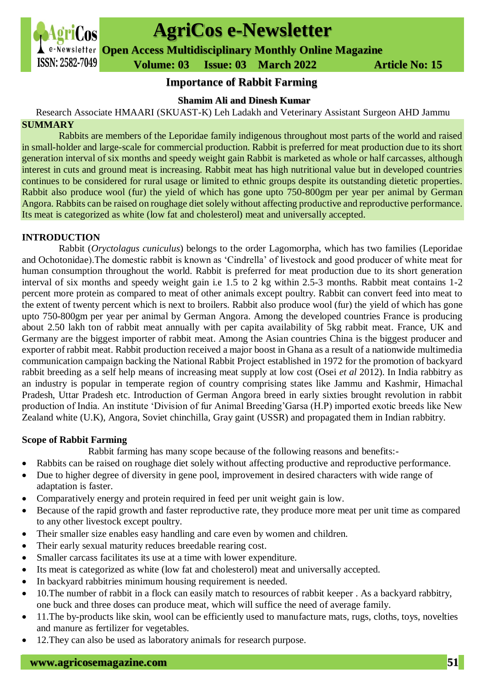# **AgriCos e-Newsletter**

**Open Access Multidisciplinary Monthly Online Magazine**

 **ISSN: 2582-7049 Volume: 03 Issue: 03 March 2022 Article No: 15** 

# **Importance of Rabbit Farming**

### **Shamim Ali and Dinesh Kumar**

Research Associate HMAARI (SKUAST-K) Leh Ladakh and Veterinary Assistant Surgeon AHD Jammu

### **SUMMARY**

Rabbits are members of the Leporidae family indigenous throughout most parts of the world and raised in small-holder and large-scale for commercial production. Rabbit is preferred for meat production due to its short generation interval of six months and speedy weight gain Rabbit is marketed as whole or half carcasses, although interest in cuts and ground meat is increasing. Rabbit meat has high nutritional value but in developed countries continues to be considered for rural usage or limited to ethnic groups despite its outstanding dietetic properties. Rabbit also produce wool (fur) the yield of which has gone upto 750-800gm per year per animal by German Angora. Rabbits can be raised on roughage diet solely without affecting productive and reproductive performance. Its meat is categorized as white (low fat and cholesterol) meat and universally accepted.

## **INTRODUCTION**

Rabbit (*Oryctolagus cuniculus*) belongs to the order Lagomorpha, which has two families (Leporidae and Ochotonidae).The domestic rabbit is known as 'Cindrella' of livestock and good producer of white meat for human consumption throughout the world. Rabbit is preferred for meat production due to its short generation interval of six months and speedy weight gain i.e 1.5 to 2 kg within 2.5-3 months. Rabbit meat contains 1-2 percent more protein as compared to meat of other animals except poultry. Rabbit can convert feed into meat to the extent of twenty percent which is next to broilers. Rabbit also produce wool (fur) the yield of which has gone upto 750-800gm per year per animal by German Angora. Among the developed countries France is producing about 2.50 lakh ton of rabbit meat annually with per capita availability of 5kg rabbit meat. France, UK and Germany are the biggest importer of rabbit meat. Among the Asian countries China is the biggest producer and exporter of rabbit meat. Rabbit production received a major boost in Ghana as a result of a nationwide multimedia communication campaign backing the National Rabbit Project established in 1972 for the promotion of backyard rabbit breeding as a self help means of increasing meat supply at low cost (Osei *et al* 2012). In India rabbitry as an industry is popular in temperate region of country comprising states like Jammu and Kashmir, Himachal Pradesh, Uttar Pradesh etc. Introduction of German Angora breed in early sixties brought revolution in rabbit production of India. An institute 'Division of fur Animal Breeding'Garsa (H.P) imported exotic breeds like New Zealand white (U.K), Angora, Soviet chinchilla, Gray gaint (USSR) and propagated them in Indian rabbitry.

## **Scope of Rabbit Farming**

Rabbit farming has many scope because of the following reasons and benefits:-

- Rabbits can be raised on roughage diet solely without affecting productive and reproductive performance.
- Due to higher degree of diversity in gene pool, improvement in desired characters with wide range of adaptation is faster.
- Comparatively energy and protein required in feed per unit weight gain is low.
- Because of the rapid growth and faster reproductive rate, they produce more meat per unit time as compared to any other livestock except poultry.
- Their smaller size enables easy handling and care even by women and children.
- Their early sexual maturity reduces breedable rearing cost.
- Smaller carcass facilitates its use at a time with lower expenditure.
- Its meat is categorized as white (low fat and cholesterol) meat and universally accepted.
- In backyard rabbitries minimum housing requirement is needed.
- 10.The number of rabbit in a flock can easily match to resources of rabbit keeper . As a backyard rabbitry, one buck and three doses can produce meat, which will suffice the need of average family.
- 11. The by-products like skin, wool can be efficiently used to manufacture mats, rugs, cloths, toys, novelties and manure as fertilizer for vegetables.
- 12.They can also be used as laboratory animals for research purpose.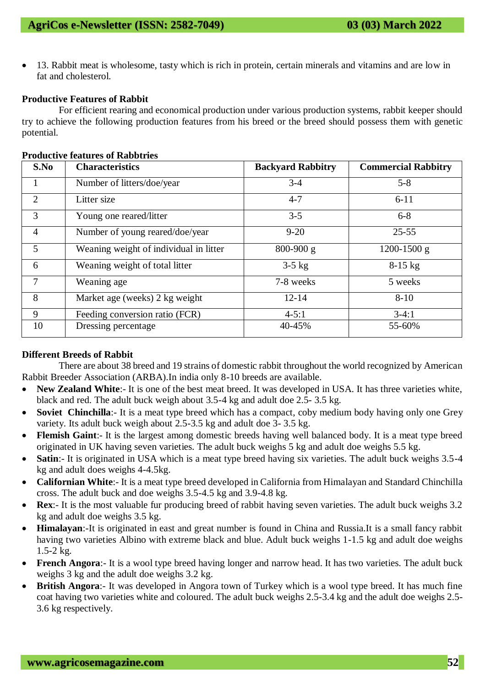• 13. Rabbit meat is wholesome, tasty which is rich in protein, certain minerals and vitamins and are low in fat and cholesterol.

#### **Productive Features of Rabbit**

For efficient rearing and economical production under various production systems, rabbit keeper should try to achieve the following production features from his breed or the breed should possess them with genetic potential.

|  | <b>Productive features of Rabbtries</b> |  |
|--|-----------------------------------------|--|
|  |                                         |  |

| S.No           | <b>Characteristics</b>                 | <b>Backyard Rabbitry</b> | <b>Commercial Rabbitry</b> |
|----------------|----------------------------------------|--------------------------|----------------------------|
|                | Number of litters/doe/year             | $3 - 4$                  | $5 - 8$                    |
| $\overline{2}$ | Litter size                            | $4 - 7$                  | $6 - 11$                   |
| 3              | Young one reared/litter                | $3 - 5$                  | $6 - 8$                    |
| $\overline{4}$ | Number of young reared/doe/year        | $9 - 20$                 | $25 - 55$                  |
| 5              | Weaning weight of individual in litter | $800 - 900$ g            | $1200 - 1500$ g            |
| 6              | Weaning weight of total litter         | $3-5$ kg                 | $8-15$ kg                  |
| 7              | Weaning age                            | 7-8 weeks                | 5 weeks                    |
| 8              | Market age (weeks) 2 kg weight         | $12 - 14$                | $8 - 10$                   |
| 9              | Feeding conversion ratio (FCR)         | $4 - 5:1$                | $3-4:1$                    |
| 10             | Dressing percentage                    | 40-45%                   | 55-60%                     |

#### **Different Breeds of Rabbit**

There are about 38 breed and 19 strains of domestic rabbit throughout the world recognized by American Rabbit Breeder Association (ARBA).In india only 8-10 breeds are available.

- New **Zealand White**:- It is one of the best meat breed. It was developed in USA. It has three varieties white, black and red. The adult buck weigh about 3.5-4 kg and adult doe 2.5- 3.5 kg.
- **Soviet Chinchilla**:- It is a meat type breed which has a compact, coby medium body having only one Grey variety. Its adult buck weigh about 2.5-3.5 kg and adult doe 3- 3.5 kg.
- **Flemish Gaint**:- It is the largest among domestic breeds having well balanced body. It is a meat type breed originated in UK having seven varieties. The adult buck weighs 5 kg and adult doe weighs 5.5 kg.
- **Satin:** It is originated in USA which is a meat type breed having six varieties. The adult buck weighs 3.5-4 kg and adult does weighs 4-4.5kg.
- **Californian White**:- It is a meat type breed developed in California from Himalayan and Standard Chinchilla cross. The adult buck and doe weighs 3.5-4.5 kg and 3.9-4.8 kg.
- **Rex:** It is the most valuable fur producing breed of rabbit having seven varieties. The adult buck weighs 3.2 kg and adult doe weighs 3.5 kg.
- **Himalayan**:-It is originated in east and great number is found in China and Russia.It is a small fancy rabbit having two varieties Albino with extreme black and blue. Adult buck weighs 1-1.5 kg and adult doe weighs 1.5-2 kg.
- **French Angora:** It is a wool type breed having longer and narrow head. It has two varieties. The adult buck weighs 3 kg and the adult doe weighs 3.2 kg.
- **British Angora**:- It was developed in Angora town of Turkey which is a wool type breed. It has much fine coat having two varieties white and coloured. The adult buck weighs 2.5-3.4 kg and the adult doe weighs 2.5- 3.6 kg respectively.